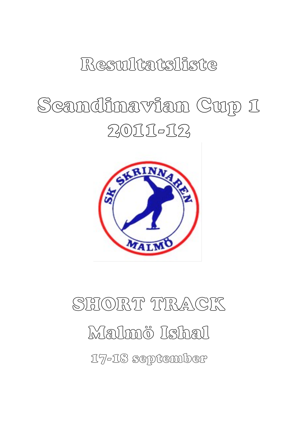# Resultatsliste

# Scandinavian Cup 1 2011-12



# SHORT TRACK Malmö Ishal 17-18 september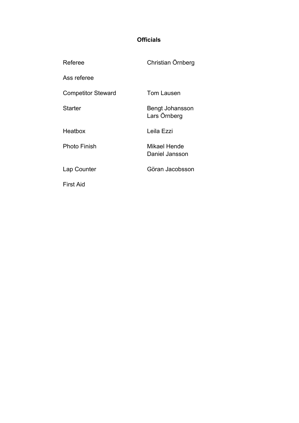#### **Officials**

| Referee                   | Christian Örnberg               |
|---------------------------|---------------------------------|
| Ass referee               |                                 |
| <b>Competitor Steward</b> | <b>Tom Lausen</b>               |
| Starter                   | Bengt Johansson<br>Lars Örnberg |
| Heatbox                   | Leila Ezzi                      |
| Photo Finish              | Mikael Hende<br>Daniel Jansson  |
| Lap Counter               | Göran Jacobsson                 |
| First Aid                 |                                 |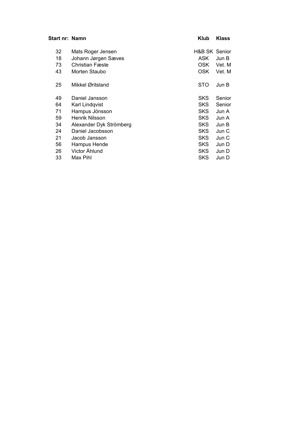| Start nr: Namn |                         | Klub                     | <b>Klass</b> |
|----------------|-------------------------|--------------------------|--------------|
| 32             | Mats Roger Jensen       | <b>H&amp;B SK Senior</b> |              |
| 18             | Johann Jørgen Sæves     | ASK                      | Jun B        |
| 73             | <b>Christian Fæste</b>  | OSK.                     | Vet. M       |
| 43             | Morten Staubo           | <b>OSK</b>               | Vet. M       |
| 25             | Mikkel Øritsland        | STO                      | Jun B        |
| 49             | Daniel Jansson          | <b>SKS</b>               | Senior       |
| 64             | Karl Lindqvist          | <b>SKS</b>               | Senior       |
| 71             | Hampus Jönsson          | <b>SKS</b>               | Jun A        |
| 59             | Henrik Nilsson          | <b>SKS</b>               | Jun A        |
| 34             | Alexander Dyk Strömberg | <b>SKS</b>               | Jun B        |
| 24             | Daniel Jacobsson        | <b>SKS</b>               | Jun C        |
| 21             | Jacob Jansson           | <b>SKS</b>               | Jun C        |
| 56             | Hampus Hende            | <b>SKS</b>               | Jun D        |
| 26             | Victor Åhlund           | <b>SKS</b>               | Jun D        |
| 33             | Max Pihl                | <b>SKS</b>               | Jun D        |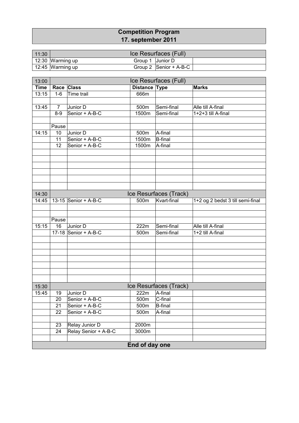#### **Competition Program 17. september 2011**

| 11:30 |                  |                  | Ice Resurfaces (Full)  |  |
|-------|------------------|------------------|------------------------|--|
|       | 12:30 Warming up | Group 1 Junior D |                        |  |
|       | 12:45 Warming up |                  | Group 2 Senior + A-B-C |  |

| 13:00       | Ice Resurfaces (Full) |                      |                |                        |                                  |  |  |
|-------------|-----------------------|----------------------|----------------|------------------------|----------------------------------|--|--|
| <b>Time</b> |                       | Race Class           | Distance Type  |                        | <b>Marks</b>                     |  |  |
| 13:15       | $1-6$                 | Time trail           | 666m           |                        |                                  |  |  |
|             |                       |                      |                |                        |                                  |  |  |
| 13:45       | $\overline{7}$        | Junior D             | 500m           | Semi-final             | Alle till A-final                |  |  |
|             | $8 - 9$               | Senior + A-B-C       | 1500m          | Semi-final             | 1+2+3 till A-final               |  |  |
|             |                       |                      |                |                        |                                  |  |  |
|             | Pause                 |                      |                |                        |                                  |  |  |
| 14:15       | 10                    | Junior D             | 500m           | A-final                |                                  |  |  |
|             | 11                    | Senior + A-B-C       | 1500m          | <b>B-final</b>         |                                  |  |  |
|             | 12                    | Senior + A-B-C       | 1500m          | A-final                |                                  |  |  |
|             |                       |                      |                |                        |                                  |  |  |
|             |                       |                      |                |                        |                                  |  |  |
|             |                       |                      |                |                        |                                  |  |  |
|             |                       |                      |                |                        |                                  |  |  |
|             |                       |                      |                |                        |                                  |  |  |
|             |                       |                      |                |                        |                                  |  |  |
| 14:30       |                       |                      |                | Ice Resurfaces (Track) |                                  |  |  |
| 14:45       |                       | 13-15 Senior + A-B-C | 500m           | Kvart-final            | 1+2 og 2 bedst 3 till semi-final |  |  |
|             |                       |                      |                |                        |                                  |  |  |
|             |                       |                      |                |                        |                                  |  |  |
|             | Pause                 |                      |                |                        |                                  |  |  |
| 15:15       | 16                    | Junior D             | 222m           | Semi-final             | Alle till A-final                |  |  |
|             |                       | 17-18 Senior + A-B-C | 500m           | Semi-final             | 1+2 till A-final                 |  |  |
|             |                       |                      |                |                        |                                  |  |  |
|             |                       |                      |                |                        |                                  |  |  |
|             |                       |                      |                |                        |                                  |  |  |
|             |                       |                      |                |                        |                                  |  |  |
|             |                       |                      |                |                        |                                  |  |  |
|             |                       |                      |                |                        |                                  |  |  |
|             |                       |                      |                |                        |                                  |  |  |
| 15:30       |                       |                      |                | Ice Resurfaces (Track) |                                  |  |  |
| 15:45       | 19                    | Junior D             | 222m           | A-final                |                                  |  |  |
|             | 20                    | Senior + A-B-C       | 500m           | C-final                |                                  |  |  |
|             | 21                    | Senior + A-B-C       | 500m           | <b>B-final</b>         |                                  |  |  |
|             | 22                    | Senior + A-B-C       | 500m           | A-final                |                                  |  |  |
|             |                       |                      |                |                        |                                  |  |  |
|             | 23                    | Relay Junior D       | 2000m          |                        |                                  |  |  |
|             | 24                    | Relay Senior + A-B-C | 3000m          |                        |                                  |  |  |
|             |                       |                      |                |                        |                                  |  |  |
|             |                       |                      | End of day one |                        |                                  |  |  |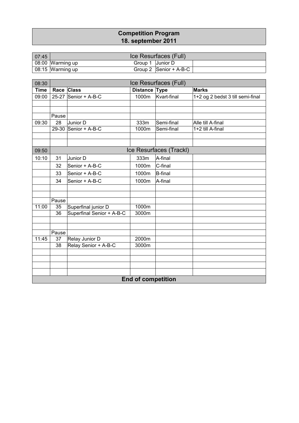#### **Competition Program 18. september 2011**

| 07:45 |                  |                  | Ice Resurfaces (Full)                               |  |
|-------|------------------|------------------|-----------------------------------------------------|--|
|       | 08:00 Warming up | Group 1 Junior D |                                                     |  |
|       | 08:15 Warming up |                  | Group 2 $\left \text{Senior} + \text{A-B-C}\right $ |  |

| 08:30       | Ice Resurfaces (Full) |                                        |                           |                         |                                  |  |  |
|-------------|-----------------------|----------------------------------------|---------------------------|-------------------------|----------------------------------|--|--|
| <b>Time</b> | Race Class            |                                        | Distance Type             |                         | <b>Marks</b>                     |  |  |
| 09:00       |                       | 25-27 Senior + A-B-C                   | 1000m                     | Kvart-final             | 1+2 og 2 bedst 3 till semi-final |  |  |
|             |                       |                                        |                           |                         |                                  |  |  |
|             |                       |                                        |                           |                         |                                  |  |  |
|             | Pause                 |                                        |                           |                         |                                  |  |  |
| 09:30       | 28                    | Junior D                               | 333m                      | Semi-final              | Alle till A-final                |  |  |
|             |                       | 29-30 Senior + A-B-C                   | 1000m                     | Semi-final              | 1+2 till A-final                 |  |  |
|             |                       |                                        |                           |                         |                                  |  |  |
|             |                       |                                        |                           |                         |                                  |  |  |
| 09:50       |                       |                                        |                           | Ice Resurfaces (Trackl) |                                  |  |  |
| 10:10       | 31                    | Junior D                               | 333m                      | A-final                 |                                  |  |  |
|             | 32                    | Senior + A-B-C                         | 1000m                     | C-final                 |                                  |  |  |
|             | 33                    | Senior + A-B-C                         | 1000m                     | <b>B-final</b>          |                                  |  |  |
|             | 34                    | Senior + A-B-C                         | 1000m                     | A-final                 |                                  |  |  |
|             |                       |                                        |                           |                         |                                  |  |  |
|             |                       |                                        |                           |                         |                                  |  |  |
|             | Pause                 |                                        |                           |                         |                                  |  |  |
| 11:00       | 35                    | Superfinal junior D                    | 1000m                     |                         |                                  |  |  |
|             | 36                    | Superfinal Senior + A-B-C              | 3000m                     |                         |                                  |  |  |
|             |                       |                                        |                           |                         |                                  |  |  |
|             | Pause                 |                                        |                           |                         |                                  |  |  |
| 11:45       | 37                    |                                        | 2000m                     |                         |                                  |  |  |
|             | 38                    | Relay Junior D<br>Relay Senior + A-B-C | 3000m                     |                         |                                  |  |  |
|             |                       |                                        |                           |                         |                                  |  |  |
|             |                       |                                        |                           |                         |                                  |  |  |
|             |                       |                                        |                           |                         |                                  |  |  |
|             |                       |                                        |                           |                         |                                  |  |  |
|             |                       |                                        | <b>End of competition</b> |                         |                                  |  |  |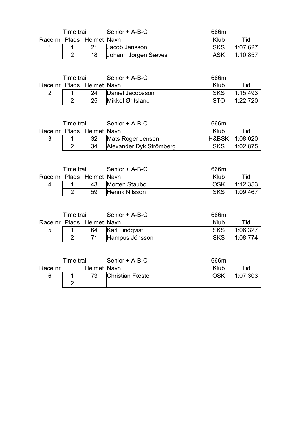|                           | Time trail |  | Senior + A-B-C         | 666m       |                   |
|---------------------------|------------|--|------------------------|------------|-------------------|
| Race nr Plads Helmet Navn |            |  |                        | Klub       | Tid               |
|                           |            |  | 21 Jacob Jansson       | <b>SKS</b> | 1:07.627          |
|                           |            |  | 18 Johann Jørgen Sæves | ASK        | $1:10.857$ $\mid$ |

| Time trail                |  |    | Senior + A-B-C        | 666m       |          |
|---------------------------|--|----|-----------------------|------------|----------|
| Race nr Plads Helmet Navn |  |    |                       | Klub       | Tid      |
|                           |  |    | 24   Daniel Jacobsson | <b>SKS</b> | 1:15.493 |
|                           |  | 25 | Mikkel Øritsland      |            | 1:22.720 |

| Time trail                |  | Senior + A-B-C             | 666m |                  |
|---------------------------|--|----------------------------|------|------------------|
| Race nr Plads Helmet Navn |  |                            | Klub | Tid              |
|                           |  | 32 Mats Roger Jensen       |      | H&BSK   1:08.020 |
|                           |  | 34 Alexander Dyk Strömberg |      | SKS   1:02.875   |

| Time trail                |  |    | Senior + A-B-C | 666m       |          |
|---------------------------|--|----|----------------|------------|----------|
| Race nr Plads Helmet Navn |  |    |                | Klub       | Tid      |
|                           |  | 43 | Morten Staubo  | OSK        | 1:12.353 |
|                           |  | 59 | Henrik Nilsson | <b>SKS</b> | 1.09.467 |

|                           | Time trail |  | Senior + A-B-C    | 666m       |                        |
|---------------------------|------------|--|-------------------|------------|------------------------|
| Race nr Plads Helmet Navn |            |  |                   | Klub       | Tid                    |
| 5                         |            |  | 64 Karl Lindqvist | <b>SKS</b> | 1:06.327               |
|                           |            |  | Hampus Jönsson    | <b>SKS</b> | $\mid$ 1:08.774 $\mid$ |

| Time trail |  |             | Senior + A-B-C         | 666m |          |
|------------|--|-------------|------------------------|------|----------|
| Race nr    |  | Helmet Navn |                        | Klub | Tid      |
| ิค         |  |             | <b>Christian Fæste</b> | OSK  | 1:07.303 |
|            |  |             |                        |      |          |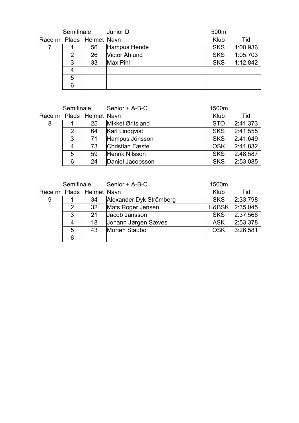| Semifinale |   |                           | Junior D      | 500m       |          |
|------------|---|---------------------------|---------------|------------|----------|
|            |   | Race nr Plads Helmet Navn |               | Klub       | Tid      |
|            |   | 56                        | Hampus Hende  | <b>SKS</b> | 1:00.936 |
|            | 2 | 26                        | Victor Åhlund | <b>SKS</b> | 1:05.703 |
|            | 3 | 33                        | Max Pihl      | <b>SKS</b> | 1:12.842 |
|            | 4 |                           |               |            |          |
|            | 5 |                           |               |            |          |
|            | 6 |                           |               |            |          |

| Semifinale |   |                           | Senior + A-B-C         | 1500m      |          |  |
|------------|---|---------------------------|------------------------|------------|----------|--|
|            |   | Race nr Plads Helmet Navn |                        | Klub       | Tid      |  |
| 8          |   | 25                        | Mikkel Øritsland       | <b>STO</b> | 2:41.373 |  |
|            | 2 | 64                        | <b>Karl Lindqvist</b>  | <b>SKS</b> | 2:41.555 |  |
|            | 3 | 71                        | Hampus Jönsson         | <b>SKS</b> | 2:41.649 |  |
|            | 4 | 73                        | <b>Christian Fæste</b> | <b>OSK</b> | 2:41.832 |  |
|            | 5 | 59                        | Henrik Nilsson         | <b>SKS</b> | 2:48.587 |  |
|            | 6 | 24                        | Daniel Jacobsson       | <b>SKS</b> | 2:53.085 |  |

|   | Semifinale |                           | Senior + A-B-C          | 1500m      |                |
|---|------------|---------------------------|-------------------------|------------|----------------|
|   |            | Race nr Plads Helmet Navn |                         | Klub       | Tid            |
| 9 |            | 34                        | Alexander Dyk Strömberg | <b>SKS</b> | 2:33.798       |
|   | 2          | 32                        | Mats Roger Jensen       |            | H&BSK 2:35.045 |
|   | 3          | 21                        | Jacob Jansson           | <b>SKS</b> | 2:37.566       |
|   | 4          | 18                        | Johann Jørgen Sæves     | <b>ASK</b> | 2:53.378       |
|   | 5          | 43                        | Morten Staubo           | <b>OSK</b> | 3:26.581       |
|   | 6          |                           |                         |            |                |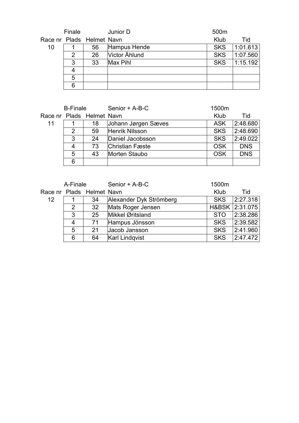|    | Finale |                           | Junior D      | 500m       |          |
|----|--------|---------------------------|---------------|------------|----------|
|    |        | Race nr Plads Helmet Navn |               | Klub       | Tid      |
| 10 |        | 56                        | Hampus Hende  | <b>SKS</b> | 1:01.613 |
|    | 2      | 26                        | Victor Åhlund | <b>SKS</b> | 1:07.560 |
|    | 3      | 33                        | Max Pihl      | <b>SKS</b> | 1:15.192 |
|    | 4      |                           |               |            |          |
|    | 5      |                           |               |            |          |
|    | 6      |                           |               |            |          |

| <b>B-Finale</b>           |               |    | Senior + A-B-C         | 1500m      |            |
|---------------------------|---------------|----|------------------------|------------|------------|
| Race nr Plads Helmet Navn |               |    |                        | Klub       | Tid        |
| 11                        |               | 18 | Johann Jørgen Sæves    | <b>ASK</b> | 2:48.680   |
|                           | $\mathcal{P}$ | 59 | Henrik Nilsson         | <b>SKS</b> | 2:48.690   |
|                           | 3             | 24 | Daniel Jacobsson       | <b>SKS</b> | 2:49.022   |
|                           | 4             | 73 | <b>Christian Fæste</b> | <b>OSK</b> | <b>DNS</b> |
|                           | 5             | 43 | <b>Morten Staubo</b>   | <b>OSK</b> | <b>DNS</b> |
|                           | 6             |    |                        |            |            |

| A-Finale |   |                           | Senior + A-B-C          | 1500m      |                |
|----------|---|---------------------------|-------------------------|------------|----------------|
|          |   | Race nr Plads Helmet Navn |                         | Klub       | Tid            |
| 12       |   | 34                        | Alexander Dyk Strömberg | <b>SKS</b> | 2:27.318       |
|          | 2 | 32                        | Mats Roger Jensen       |            | H&BSK 2:31.075 |
|          | 3 | 25                        | Mikkel Øritsland        | <b>STO</b> | 2:38.286       |
|          | 4 | 71                        | Hampus Jönsson          | <b>SKS</b> | 2:39.582       |
|          | 5 | 21                        | Jacob Jansson           | <b>SKS</b> | 2:41.960       |
|          | 6 | 64                        | <b>Karl Lindgvist</b>   | <b>SKS</b> | 2.47.472       |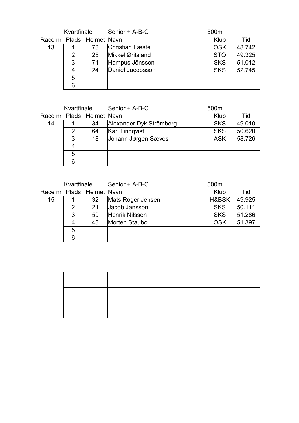|    | Kvartfinale |                           | Senior + A-B-C         | 500m       |        |
|----|-------------|---------------------------|------------------------|------------|--------|
|    |             | Race nr Plads Helmet Navn |                        | Klub       | Tid    |
| 13 |             | 73                        | <b>Christian Fæste</b> | <b>OSK</b> | 48.742 |
|    | 2           | 25                        | Mikkel Øritsland       | <b>STO</b> | 49.325 |
|    | 3           | 71                        | Hampus Jönsson         | <b>SKS</b> | 51.012 |
|    | 4           | 24                        | Daniel Jacobsson       | <b>SKS</b> | 52.745 |
|    | 5           |                           |                        |            |        |
|    | 6           |                           |                        |            |        |

|    | Kvartfinale |                           | Senior + A-B-C          | 500 <sub>m</sub> |        |
|----|-------------|---------------------------|-------------------------|------------------|--------|
|    |             | Race nr Plads Helmet Navn |                         | Klub             | Tid    |
| 14 |             | 34                        | Alexander Dyk Strömberg | <b>SKS</b>       | 49.010 |
|    | 2           | 64                        | <b>Karl Lindqvist</b>   | <b>SKS</b>       | 50.620 |
|    | 3           | 18                        | Johann Jørgen Sæves     | <b>ASK</b>       | 58.726 |
|    | 4           |                           |                         |                  |        |
|    | 5           |                           |                         |                  |        |
|    | 6           |                           |                         |                  |        |

|    | Kvartfinale |                           | Senior + A-B-C    | 500 <sub>m</sub> |        |
|----|-------------|---------------------------|-------------------|------------------|--------|
|    |             | Race nr Plads Helmet Navn |                   | Klub             | Tid    |
| 15 |             | 32                        | Mats Roger Jensen | H&BSK            | 49.925 |
|    | 2           | 21                        | Jacob Jansson     | <b>SKS</b>       | 50.111 |
|    | 3           | 59                        | Henrik Nilsson    | <b>SKS</b>       | 51.286 |
|    | 4           | 43                        | Morten Staubo     | <b>OSK</b>       | 51.397 |
|    | 5           |                           |                   |                  |        |
|    | 6           |                           |                   |                  |        |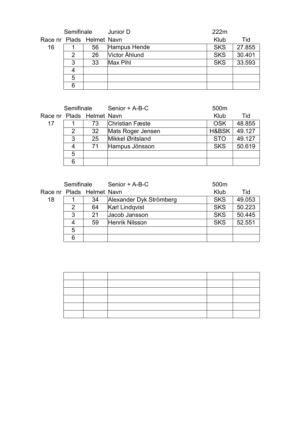| Semifinale |   |                           | Junior D      | 222m       |        |
|------------|---|---------------------------|---------------|------------|--------|
|            |   | Race nr Plads Helmet Navn |               | Klub       | Tid    |
| 16         |   | 56                        | Hampus Hende  | <b>SKS</b> | 27.855 |
|            | 2 | 26                        | Victor Åhlund | <b>SKS</b> | 30.401 |
|            | 3 | 33                        | Max Pihl      | <b>SKS</b> | 33.593 |
|            | 4 |                           |               |            |        |
|            | 5 |                           |               |            |        |
|            | 6 |                           |               |            |        |

| Semifinale |   |                           | Senior + A-B-C         | 500m       |        |
|------------|---|---------------------------|------------------------|------------|--------|
|            |   | Race nr Plads Helmet Navn |                        | Klub       | Tid    |
| 17         |   | 73                        | <b>Christian Fæste</b> | <b>OSK</b> | 48.855 |
|            | 2 | 32                        | Mats Roger Jensen      | H&BSK      | 49.127 |
|            | 3 | 25                        | Mikkel Øritsland       | <b>STO</b> | 49.127 |
|            | 4 | 71                        | Hampus Jönsson         | <b>SKS</b> | 50.619 |
|            | 5 |                           |                        |            |        |
|            | 6 |                           |                        |            |        |

|    | Semifinale |                           | Senior + A-B-C          | 500 <sub>m</sub> |        |  |
|----|------------|---------------------------|-------------------------|------------------|--------|--|
|    |            | Race nr Plads Helmet Navn |                         | Klub             | Tid    |  |
| 18 |            | 34                        | Alexander Dyk Strömberg | <b>SKS</b>       | 49.053 |  |
|    | 2          | 64                        | <b>Karl Lindqvist</b>   | <b>SKS</b>       | 50.223 |  |
|    | 3          | 21                        | Jacob Jansson           | <b>SKS</b>       | 50.445 |  |
|    | 4          | 59                        | Henrik Nilsson          | <b>SKS</b>       | 52.551 |  |
|    | 5          |                           |                         |                  |        |  |
|    | 6          |                           |                         |                  |        |  |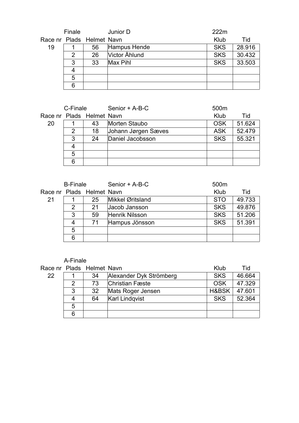|    | Finale        |                           | Junior D      | 222m       |        |
|----|---------------|---------------------------|---------------|------------|--------|
|    |               | Race nr Plads Helmet Navn |               | Klub       | Tid    |
| 19 |               | 56                        | Hampus Hende  | <b>SKS</b> | 28.916 |
|    | $\mathcal{P}$ | 26                        | Victor Åhlund | <b>SKS</b> | 30.432 |
|    | 3             | 33                        | Max Pihl      | <b>SKS</b> | 33.503 |
|    | 4             |                           |               |            |        |
|    | 5             |                           |               |            |        |
|    | 6             |                           |               |            |        |

| C-Finale |   |                           | Senior + A-B-C      | 500m       |        |
|----------|---|---------------------------|---------------------|------------|--------|
|          |   | Race nr Plads Helmet Navn |                     | Klub       | Tid    |
| 20       |   | 43                        | Morten Staubo       | <b>OSK</b> | 51.624 |
|          | 2 | 18                        | Johann Jørgen Sæves | <b>ASK</b> | 52.479 |
|          | 3 | 24                        | Daniel Jacobsson    | <b>SKS</b> | 55.321 |
|          | 4 |                           |                     |            |        |
|          | 5 |                           |                     |            |        |
|          | 6 |                           |                     |            |        |

| <b>B-Finale</b> |               |                           | Senior + A-B-C   | 500m       |        |  |
|-----------------|---------------|---------------------------|------------------|------------|--------|--|
|                 |               | Race nr Plads Helmet Navn |                  | Klub       | Tid    |  |
| 21              |               | 25                        | Mikkel Øritsland | <b>STO</b> | 49.733 |  |
|                 | $\mathcal{P}$ | 21                        | Jacob Jansson    | <b>SKS</b> | 49.876 |  |
|                 | 3             | 59                        | Henrik Nilsson   | <b>SKS</b> | 51.206 |  |
|                 | 4             | 71                        | Hampus Jönsson   | <b>SKS</b> | 51.391 |  |
|                 | 5             |                           |                  |            |        |  |
|                 | 6             |                           |                  |            |        |  |

#### A-Finale

|    |   | Race nr Plads Helmet Navn |                         | Klub       | Tid    |
|----|---|---------------------------|-------------------------|------------|--------|
| 22 |   | 34                        | Alexander Dyk Strömberg | <b>SKS</b> | 46.664 |
|    | 2 | 73                        | <b>Christian Fæste</b>  | OSK        | 47.329 |
|    | 3 | 32                        | Mats Roger Jensen       | H&BSK      | 47.601 |
|    | 4 | 64                        | <b>Karl Lindgvist</b>   | <b>SKS</b> | 52.364 |
|    | 5 |                           |                         |            |        |
|    | 6 |                           |                         |            |        |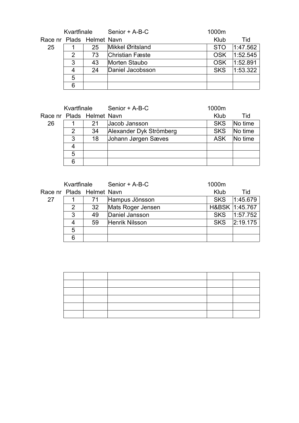| Kvartfinale |   |                           | Senior + A-B-C         | 1000m      |          |
|-------------|---|---------------------------|------------------------|------------|----------|
|             |   | Race nr Plads Helmet Navn |                        | Klub       | Tid      |
| 25          |   | 25                        | Mikkel Øritsland       | <b>STO</b> | 1:47.562 |
|             | 2 | 73                        | <b>Christian Fæste</b> | <b>OSK</b> | 1:52.545 |
|             | 3 | 43                        | Morten Staubo          | <b>OSK</b> | 1:52.891 |
|             | 4 | 24                        | Daniel Jacobsson       | <b>SKS</b> | 1:53.322 |
|             | 5 |                           |                        |            |          |
|             | 6 |                           |                        |            |          |

| Kvartfinale |   |                           | Senior + A-B-C          | 1000m      |         |
|-------------|---|---------------------------|-------------------------|------------|---------|
|             |   | Race nr Plads Helmet Navn |                         | Klub       | Tid     |
| 26          |   | 21                        | Jacob Jansson           | <b>SKS</b> | No time |
|             | 2 | 34                        | Alexander Dyk Strömberg | <b>SKS</b> | No time |
|             | 3 | 18                        | Johann Jørgen Sæves     | <b>ASK</b> | No time |
|             | 4 |                           |                         |            |         |
|             | 5 |                           |                         |            |         |
|             | 6 |                           |                         |            |         |

|                           | Kvartfinale |    | Senior + A-B-C    | 1000m      |                |
|---------------------------|-------------|----|-------------------|------------|----------------|
| Race nr Plads Helmet Navn |             |    |                   | Klub       | Tid            |
| 27                        |             | 71 | Hampus Jönsson    | <b>SKS</b> | 1.45.679       |
|                           | 2           | 32 | Mats Roger Jensen |            | H&BSK 1:45.767 |
|                           | 3           | 49 | Daniel Jansson    | <b>SKS</b> | 1.57.752       |
|                           | 4           | 59 | Henrik Nilsson    | <b>SKS</b> | 2:19.175       |
|                           | 5           |    |                   |            |                |
|                           | 6           |    |                   |            |                |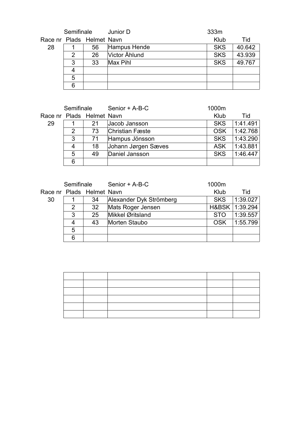| Semifinale |   |                           | Junior D      | 333m       |        |
|------------|---|---------------------------|---------------|------------|--------|
|            |   | Race nr Plads Helmet Navn |               | Klub       | Tid    |
| 28         |   | 56                        | Hampus Hende  | <b>SKS</b> | 40.642 |
|            | 2 | 26                        | Victor Åhlund | <b>SKS</b> | 43.939 |
|            | 3 | 33                        | Max Pihl      | <b>SKS</b> | 49.767 |
|            | 4 |                           |               |            |        |
|            | 5 |                           |               |            |        |
|            | 6 |                           |               |            |        |

|    | Semifinale |                           | Senior + A-B-C         | 1000m      |                                 |
|----|------------|---------------------------|------------------------|------------|---------------------------------|
|    |            | Race nr Plads Helmet Navn |                        | Klub       | Tid                             |
| 29 |            | 21                        | Jacob Jansson          | <b>SKS</b> | $^{\backprime}$ 1.41.491 $\mid$ |
|    | 2          | 73                        | <b>Christian Fæste</b> | <b>OSK</b> | 1:42.768                        |
|    | 3          | 71                        | Hampus Jönsson         | <b>SKS</b> | 1:43.290                        |
|    | 4          | 18                        | Johann Jørgen Sæves    | <b>ASK</b> | 1:43.881                        |
|    | 5          | 49                        | Daniel Jansson         | <b>SKS</b> | 1.46.447                        |
|    | 6          |                           |                        |            |                                 |

|                           | Semifinale |    | Senior + A-B-C          | 1000m      |          |
|---------------------------|------------|----|-------------------------|------------|----------|
| Race nr Plads Helmet Navn |            |    |                         | Klub       | Tid      |
| 30                        |            | 34 | Alexander Dyk Strömberg | <b>SKS</b> | 1:39.027 |
|                           | 2          | 32 | Mats Roger Jensen       | H&BSK      | 1:39.294 |
|                           | 3          | 25 | Mikkel Øritsland        | <b>STO</b> | 1:39.557 |
|                           | 4          | 43 | Morten Staubo           | <b>OSK</b> | 1:55.799 |
|                           | 5          |    |                         |            |          |
|                           | 6          |    |                         |            |          |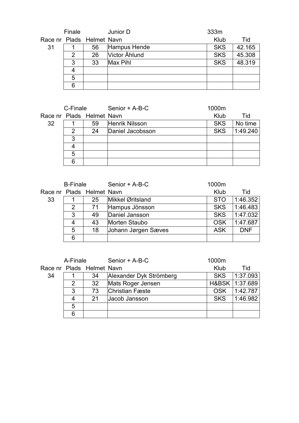|    | Finale |                           | Junior D      | 333m       |        |
|----|--------|---------------------------|---------------|------------|--------|
|    |        | Race nr Plads Helmet Navn |               | Klub       | Tid    |
| 31 |        | 56                        | Hampus Hende  | <b>SKS</b> | 42.165 |
|    | 2      | 26                        | Victor Åhlund | <b>SKS</b> | 45.308 |
|    | 3      | 33                        | Max Pihl      | <b>SKS</b> | 48.319 |
|    | 4      |                           |               |            |        |
|    | 5      |                           |               |            |        |
|    | 6      |                           |               |            |        |

|    | C-Finale                  |    | Senior + A-B-C   | 1000m      |          |
|----|---------------------------|----|------------------|------------|----------|
|    | Race nr Plads Helmet Navn |    |                  | Klub       | Tid      |
| 32 |                           | 59 | Henrik Nilsson   | <b>SKS</b> | No time  |
|    | 2                         | 24 | Daniel Jacobsson | <b>SKS</b> | 1:49.240 |
|    | 3                         |    |                  |            |          |
|    |                           |    |                  |            |          |
|    | 5                         |    |                  |            |          |
|    | 6                         |    |                  |            |          |

| <b>B-Finale</b> |   |                           | Senior + A-B-C      | 1000m      |            |
|-----------------|---|---------------------------|---------------------|------------|------------|
|                 |   | Race nr Plads Helmet Navn |                     | Klub       | Tid        |
| 33              |   | 25                        | Mikkel Øritsland    | <b>STO</b> | 1:46.352   |
|                 | 2 | 71                        | Hampus Jönsson      | <b>SKS</b> | 1.46.483   |
|                 | 3 | 49                        | Daniel Jansson      | <b>SKS</b> | 1.47.032   |
|                 | 4 | 43                        | Morten Staubo       | <b>OSK</b> | 1:47.687   |
|                 | 5 | 18                        | Johann Jørgen Sæves | <b>ASK</b> | <b>DNF</b> |
|                 | 6 |                           |                     |            |            |

|    | A-Finale |                           | Senior + A-B-C          | 1000m      |                  |
|----|----------|---------------------------|-------------------------|------------|------------------|
|    |          | Race nr Plads Helmet Navn |                         | Klub       | Tid              |
| 34 |          | 34                        | Alexander Dyk Strömberg | <b>SKS</b> | 1:37.093         |
|    | 2        | 32                        | Mats Roger Jensen       |            | H&BSK   1:37.689 |
|    | 3        | 73                        | <b>Christian Fæste</b>  | <b>OSK</b> | 1:42.787         |
|    | 4        | 21                        | Jacob Jansson           | <b>SKS</b> | 1.46.982         |
|    | 5        |                           |                         |            |                  |
| 6  |          |                           |                         |            |                  |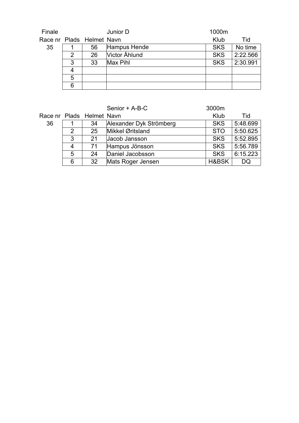| Finale |   |                           | Junior D      | 1000m      |          |
|--------|---|---------------------------|---------------|------------|----------|
|        |   | Race nr Plads Helmet Navn |               | Klub       | Tid      |
| 35     |   | 56                        | Hampus Hende  | <b>SKS</b> | No time  |
|        | 2 | 26                        | Victor Åhlund | <b>SKS</b> | 2:22.566 |
|        | 3 | 33                        | Max Pihl      | <b>SKS</b> | 2:30.991 |
|        | 4 |                           |               |            |          |
|        | 5 |                           |               |            |          |
|        | 6 |                           |               |            |          |

|    |   |                           | Senior + A-B-C          | 3000m      |          |
|----|---|---------------------------|-------------------------|------------|----------|
|    |   | Race nr Plads Helmet Navn |                         | Klub       | Tid      |
| 36 |   | 34                        | Alexander Dyk Strömberg | <b>SKS</b> | 5:48.699 |
|    | 2 | 25                        | Mikkel Øritsland        | <b>STO</b> | 5:50.625 |
|    | 3 | 21                        | Jacob Jansson           | <b>SKS</b> | 5:52.895 |
|    | 4 | 71                        | Hampus Jönsson          | <b>SKS</b> | 5:56.789 |
|    | 5 | 24                        | Daniel Jacobsson        | <b>SKS</b> | 6:15.223 |
|    | 6 | 32                        | Mats Roger Jensen       | H&BSK      | DQ       |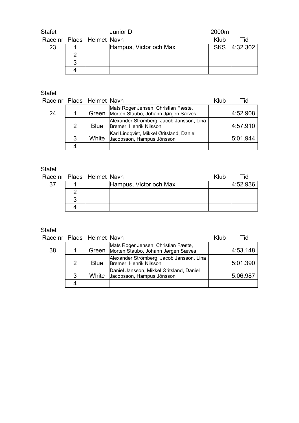| Stafet                    |   | Junior D               | 2000m |              |
|---------------------------|---|------------------------|-------|--------------|
| Race nr Plads Helmet Navn |   |                        | Klub  | Tid          |
| 23                        |   | Hampus, Victor och Max |       | SKS 4:32.302 |
|                           |   |                        |       |              |
|                           | ລ |                        |       |              |
|                           |   |                        |       |              |

#### Stafet

| Race nr Plads Helmet Navn |               |       |                                                                                 | Klub | Tid      |
|---------------------------|---------------|-------|---------------------------------------------------------------------------------|------|----------|
| 24                        |               |       | Mats Roger Jensen, Christian Fæste,<br>Green Morten Staubo, Johann Jørgen Sæves |      | 4:52.908 |
|                           | $\mathcal{P}$ | Blue  | Alexander Strömberg, Jacob Jansson, Lina<br>Bremer. Henrik Nilsson              |      | 4:57.910 |
|                           | 3             | White | Karl Lindqvist, Mikkel Øritsland, Daniel<br>Jacobsson, Hampus Jönsson           |      | 5.01.944 |
|                           |               |       |                                                                                 |      |          |

#### Stafet

|    | Race nr Plads Helmet Navn |                        | Klub | Tid      |
|----|---------------------------|------------------------|------|----------|
| 37 |                           | Hampus, Victor och Max |      | 4:52.936 |
|    |                           |                        |      |          |
|    |                           |                        |      |          |
|    |                           |                        |      |          |

# Stafet<br>Race

|    |   | Race nr Plads Helmet Navn |                                                                           | Klub | Tid      |
|----|---|---------------------------|---------------------------------------------------------------------------|------|----------|
| 38 |   | Green                     | Mats Roger Jensen, Christian Fæste,<br>Morten Staubo, Johann Jørgen Sæves |      | 4.53.148 |
|    | 2 | <b>Blue</b>               | Alexander Strömberg, Jacob Jansson, Lina<br>Bremer. Henrik Nilsson        |      | 5:01.390 |
|    | 3 | White                     | Daniel Jansson, Mikkel Øritsland, Daniel<br>Jacobsson, Hampus Jönsson     |      | 5:06.987 |
|    |   |                           |                                                                           |      |          |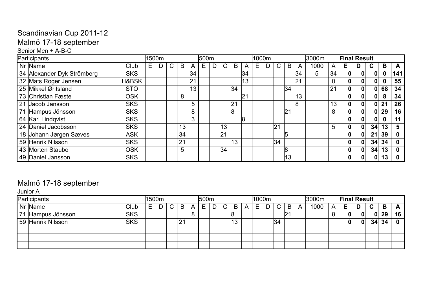#### Senior Men + A-B-C

| Participants               |            | 1500m |    |    |    | 500m |   |              |    |    | 1000m |    |    |    | l3000m |                 |    | <b>Final Result</b> |    |    |     |
|----------------------------|------------|-------|----|----|----|------|---|--------------|----|----|-------|----|----|----|--------|-----------------|----|---------------------|----|----|-----|
| Nr Name                    | Club       | Е     | C. | B  | A  | E.   | D | $\mathsf{C}$ | B  | A  | Е     | C. | B  | A  | 1000   | A               | Е. |                     | C. | B  | A   |
| 34 Alexander Dyk Strömberg | <b>SKS</b> |       |    |    | 34 |      |   |              |    | 34 |       |    |    | 34 | 5      | 34              | 0  |                     | 0  |    | 141 |
| 32 Mats Roger Jensen       | H&BSK      |       |    |    | 21 |      |   |              |    | 13 |       |    |    | 21 |        |                 | 0  | 0                   | 0  |    | 55  |
| 25 Mikkel Øritsland        | <b>STO</b> |       |    |    | 13 |      |   |              | 34 |    |       |    | 34 |    |        | 21              | 0  | 0                   | 0  | 68 | 34  |
| 173 Christian Fæste        | <b>OSK</b> |       |    | 8  |    |      |   |              |    | 21 |       |    |    | 13 |        |                 |    |                     | 0  |    | 34  |
| 21 Jacob Jansson           | <b>SKS</b> |       |    |    | 5  |      |   |              | 21 |    |       |    |    | 8  |        | 13 <sub>1</sub> |    | 0                   | 0  | 21 | 26  |
| 71 Hampus Jönsson          | <b>SKS</b> |       |    |    | 8  |      |   |              | 8  |    |       |    | 21 |    |        | 8               | 0  | 0                   | 0  | 29 | 16  |
| 64 Karl Lindqvist          | <b>SKS</b> |       |    |    | 3  |      |   |              |    | 8  |       |    |    |    |        |                 |    |                     | 0  |    | 11  |
| 24 Daniel Jacobsson        | <b>SKS</b> |       |    | 13 |    |      |   | 13           |    |    |       | 21 |    |    |        | 5               | 0  | 0                   | 34 | 13 |     |
| 18 Johann Jørgen Sæves     | <b>ASK</b> |       |    | 34 |    |      |   | 21           |    |    |       |    |    |    |        |                 | 0  |                     | 21 | 39 |     |
| 59 Henrik Nilsson          | <b>SKS</b> |       |    | 21 |    |      |   |              | 13 |    |       | 34 |    |    |        |                 |    |                     | 34 | 34 |     |
| 43 Morten Staubo           | <b>OSK</b> |       |    | 5  |    |      |   | 34           |    |    |       |    |    |    |        |                 | 0  | 0                   | 34 | 13 |     |
| 49 Daniel Jansson          | <b>SKS</b> |       |    |    |    |      |   |              |    |    |       |    | 13 |    |        |                 | 0  | 0                   | 0  | 13 |     |

## Malmö 17-18 september

Junior A

| Participants      |            | 1500m  |        |    |   | 500 <sub>m</sub> |   |              |    |   | 1000m |             |    | l3000m |   | <b>Final Result</b> |    |              |    |            |
|-------------------|------------|--------|--------|----|---|------------------|---|--------------|----|---|-------|-------------|----|--------|---|---------------------|----|--------------|----|------------|
| Nr Name           | Club       | -<br>⊢ | $\cap$ | B  | A | E                | D | $\mathsf{C}$ | B  | A | Е     | $\sim$<br>U | B  | 1000   | A | Е                   | D  | $\mathbf{C}$ | B  | $\sqrt{ }$ |
| 71 Hampus Jönsson | <b>SKS</b> |        |        |    | 8 |                  |   |              |    |   |       |             | 21 |        | U |                     |    | $\mathbf{0}$ | 29 | 16         |
| 59 Henrik Nilsson | <b>SKS</b> |        |        | 21 |   |                  |   |              | 13 |   |       | 34          |    |        |   |                     | OI | 34           | 34 |            |
|                   |            |        |        |    |   |                  |   |              |    |   |       |             |    |        |   |                     |    |              |    |            |
|                   |            |        |        |    |   |                  |   |              |    |   |       |             |    |        |   |                     |    |              |    |            |
|                   |            |        |        |    |   |                  |   |              |    |   |       |             |    |        |   |                     |    |              |    |            |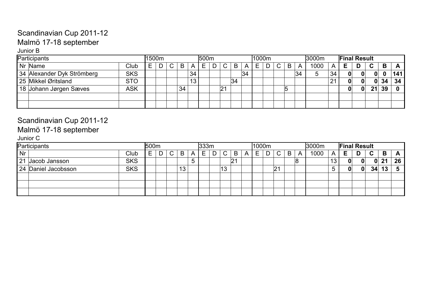#### Junior B

| Participants               |            | '1500m |  |    |                 | 500 <sub>m</sub> |   |    |    |    | 1000m |             |   |    | l3000m |    | <b>Final Result</b> |          |    |     |
|----------------------------|------------|--------|--|----|-----------------|------------------|---|----|----|----|-------|-------------|---|----|--------|----|---------------------|----------|----|-----|
| Nr Name                    | Club       | ⊢      |  | B  | A               | E.               | D |    | B  |    | E     | $\sim$<br>◡ | B | A  | 1000   | A  |                     | ◠        | B  |     |
| 34 Alexander Dyk Strömberg | <b>SKS</b> |        |  |    | 34              |                  |   |    |    | 34 |       |             |   | 34 | 5      | 34 | $\Omega$            |          |    | 141 |
| 25 Mikkel Øritsland        | <b>STO</b> |        |  |    | 13 <sub>1</sub> |                  |   |    | 34 |    |       |             |   |    |        | 21 | 0                   | $\Omega$ | 34 | 34  |
| 18 Johann Jørgen Sæves     | ASK        |        |  | 34 |                 |                  |   | 21 |    |    |       |             |   |    |        |    | 0                   | 21       | 39 |     |
|                            |            |        |  |    |                 |                  |   |    |    |    |       |             |   |    |        |    |                     |          |    |     |
|                            |            |        |  |    |                 |                  |   |    |    |    |       |             |   |    |        |    |                     |          |    |     |

# Scandinavian Cup 2011-12

## Malmö 17-18 september

Junior C

|    | Participants        |            | 500m |                |                 |   | 333m |   |              |    |   | 1000m |   |               |   |   | <b>3000m</b> |    |              | <b>Final Result</b> |             |    |    |
|----|---------------------|------------|------|----------------|-----------------|---|------|---|--------------|----|---|-------|---|---------------|---|---|--------------|----|--------------|---------------------|-------------|----|----|
| Nr |                     | Club       | ►    | C <sub>1</sub> | B               | A | E.   | D | $\mathsf{C}$ | B  | Α | Е     | D | $\mathsf{C}$  | B | A | 1000         | A  | E.           | D.                  | $\mathbf C$ | B  | A  |
|    | 21 Jacob Jansson    | <b>SKS</b> |      |                |                 |   |      |   |              | 21 |   |       |   |               |   |   |              | 13 | 0            | 0                   | 0           | 21 | 26 |
|    | 24 Daniel Jacobsson | <b>SKS</b> |      |                | 13 <sup>°</sup> |   |      |   | 13           |    |   |       |   | $ 2^{\prime}$ |   |   |              |    | $\mathbf{0}$ | $\mathbf{O}$        | 34          | 13 |    |
|    |                     |            |      |                |                 |   |      |   |              |    |   |       |   |               |   |   |              |    |              |                     |             |    |    |
|    |                     |            |      |                |                 |   |      |   |              |    |   |       |   |               |   |   |              |    |              |                     |             |    |    |
|    |                     |            |      |                |                 |   |      |   |              |    |   |       |   |               |   |   |              |    |              |                     |             |    |    |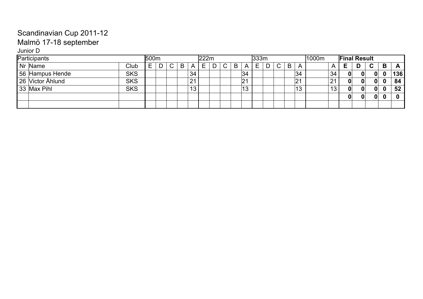#### Junior D

| Participants     |            | <b>500m</b> |        |   |                 | 222m |   |   |   |    | 333m |                     |   |    | 1000m | <b>Final Result</b> |   |          |   |     |
|------------------|------------|-------------|--------|---|-----------------|------|---|---|---|----|------|---------------------|---|----|-------|---------------------|---|----------|---|-----|
| Nr Name          | Club       | E           | $\cap$ | B | A               | E.   | D | C | B | Α  | Е    | $\sim$<br>$\bullet$ | B | A  |       | E.                  | D | C        | B | A   |
| 56 Hampus Hende  | <b>SKS</b> |             |        |   | 34              |      |   |   |   | 34 |      |                     |   | 34 | 34    | 0                   |   | $\bf{0}$ |   | 136 |
| 26 Victor Ahlund | <b>SKS</b> |             |        |   | 21              |      |   |   |   | 21 |      |                     |   | 21 | 21    | 0                   |   | 0        |   | 84  |
| 33 Max Pihl      | <b>SKS</b> |             |        |   | 13 <sub>1</sub> |      |   |   |   | 13 |      |                     |   | 13 | 13    | 0                   |   | $\bf{0}$ |   | 52  |
|                  |            |             |        |   |                 |      |   |   |   |    |      |                     |   |    |       |                     |   | 0        |   |     |
|                  |            |             |        |   |                 |      |   |   |   |    |      |                     |   |    |       |                     |   |          |   |     |